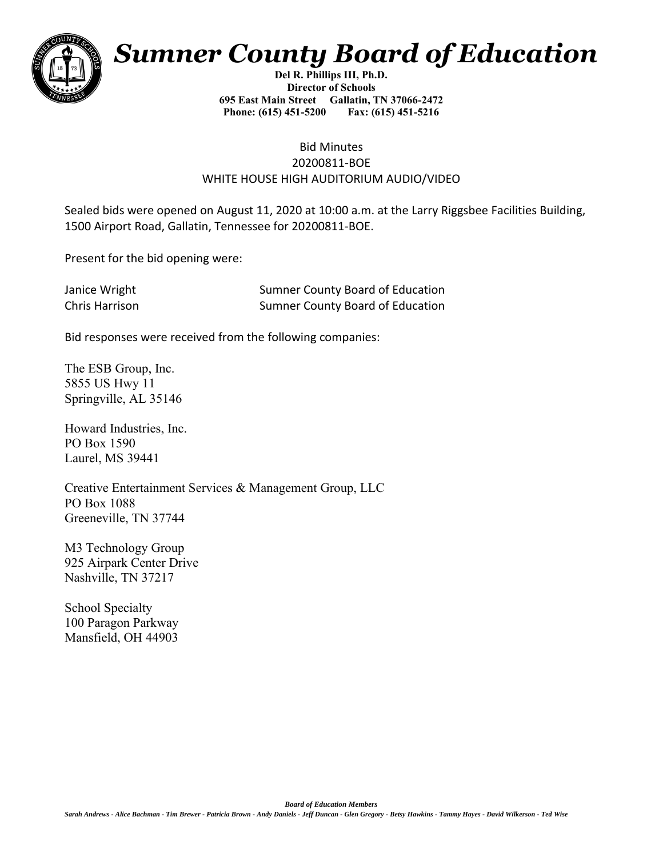

## *Sumner County Board of Education*

**Del R. Phillips III, Ph.D. Director of Schools 695 East Main Street Gallatin, TN 37066-2472 Phone: (615) 451-5200 Fax: (615) 451-5216** 

## Bid Minutes 20200811-BOE WHITE HOUSE HIGH AUDITORIUM AUDIO/VIDEO

Sealed bids were opened on August 11, 2020 at 10:00 a.m. at the Larry Riggsbee Facilities Building, 1500 Airport Road, Gallatin, Tennessee for 20200811-BOE.

Present for the bid opening were:

| Janice Wright  | <b>Sumner County Board of Education</b> |
|----------------|-----------------------------------------|
| Chris Harrison | Sumner County Board of Education        |

Bid responses were received from the following companies:

The ESB Group, Inc. 5855 US Hwy 11 Springville, AL 35146

Howard Industries, Inc. PO Box 1590 Laurel, MS 39441

Creative Entertainment Services & Management Group, LLC PO Box 1088 Greeneville, TN 37744

M3 Technology Group 925 Airpark Center Drive Nashville, TN 37217

School Specialty 100 Paragon Parkway Mansfield, OH 44903